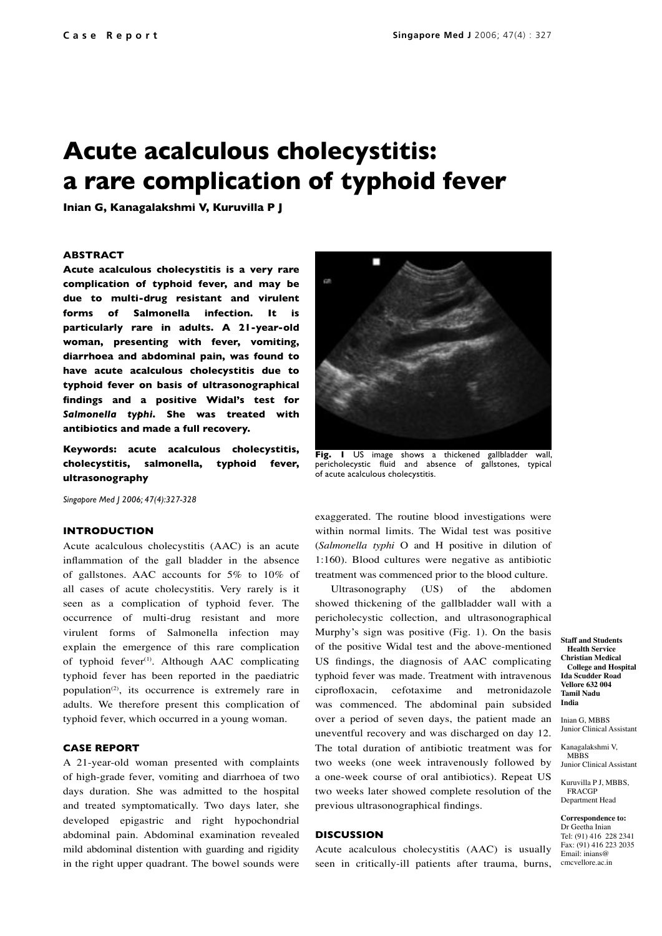# **Acute acalculous cholecystitis: a rare complication of typhoid fever**

**Inian G, Kanagalakshmi V, Kuruvilla P J**

#### **ABSTRACT**

**Acute acalculous cholecystitis is a very rare complication of typhoid fever, and may be due to multi-drug resistant and virulent forms of Salmonella infection. It is particularly rare in adults. A 21-year-old woman, presenting with fever, vomiting, diarrhoea and abdominal pain, was found to have acute acalculous cholecystitis due to typhoid fever on basis of ultrasonographical findings and a positive Widal's test for**  *Salmonella typhi***. She was treated with antibiotics and made a full recovery.**

**Keywords: acute acalculous cholecystitis, cholecystitis, salmonella, typhoid fever, ultrasonography** 

*Singapore Med J 2006; 47(4):327-328*

## **INTRODUCTION**

Acute acalculous cholecystitis (AAC) is an acute inflammation of the gall bladder in the absence of gallstones. AAC accounts for 5% to 10% of all cases of acute cholecystitis. Very rarely is it seen as a complication of typhoid fever. The occurrence of multi-drug resistant and more virulent forms of Salmonella infection may explain the emergence of this rare complication of typhoid fever<sup>(1)</sup>. Although AAC complicating typhoid fever has been reported in the paediatric population<sup>(2)</sup>, its occurrence is extremely rare in adults. We therefore present this complication of typhoid fever, which occurred in a young woman.

#### **CASE REPORT**

A 21-year-old woman presented with complaints of high-grade fever, vomiting and diarrhoea of two days duration. She was admitted to the hospital and treated symptomatically. Two days later, she developed epigastric and right hypochondrial abdominal pain. Abdominal examination revealed mild abdominal distention with guarding and rigidity in the right upper quadrant. The bowel sounds were



**Fig. 1** US image shows a thickened gallbladder wall, pericholecystic fluid and absence of gallstones, typical of acute acalculous cholecystitis.

exaggerated. The routine blood investigations were within normal limits. The Widal test was positive (*Salmonella typhi* O and H positive in dilution of 1:160). Blood cultures were negative as antibiotic treatment was commenced prior to the blood culture.

Ultrasonography (US) of the abdomen showed thickening of the gallbladder wall with a pericholecystic collection, and ultrasonographical Murphy's sign was positive (Fig. 1). On the basis of the positive Widal test and the above-mentioned US findings, the diagnosis of AAC complicating typhoid fever was made. Treatment with intravenous ciprofloxacin, cefotaxime and metronidazole was commenced. The abdominal pain subsided over a period of seven days, the patient made an uneventful recovery and was discharged on day 12. The total duration of antibiotic treatment was for two weeks (one week intravenously followed by a one-week course of oral antibiotics). Repeat US two weeks later showed complete resolution of the previous ultrasonographical findings.

## **DISCUSSION**

Acute acalculous cholecystitis (AAC) is usually seen in critically-ill patients after trauma, burns,

**Staff and Students Health Service Christian Medical College and Hospital Ida Scudder Road Vellore 632 004 Tamil Nadu India**

Inian G, MBBS Junior Clinical Assistant

Kanagalakshmi V, MBBS Junior Clinical Assistant

Kuruvilla P J, MBBS, FRACGP Department Head

**Correspondence to:** Dr Geetha Inian Tel: (91) 416 228 2341 Fax: (91) 416 223 2035 Email: inians@ cmcvellore.ac.in